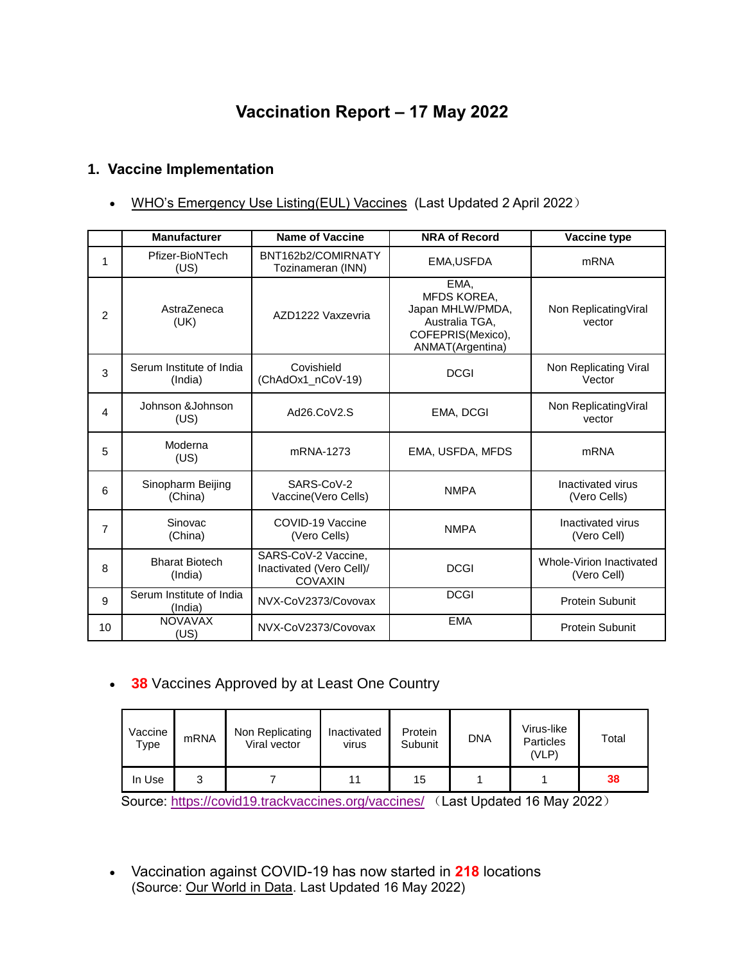# **Vaccination Report – 17 May 2022**

## **1. Vaccine Implementation**

• [WHO's Emergency Use Listing\(EUL\) Vaccines](https://extranet.who.int/pqweb/sites/default/files/documents/Status_COVID_VAX_02April2022.pdf) (Last Updated 2 April 2022)

|                | <b>Manufacturer</b>                 | <b>Name of Vaccine</b>                                            | <b>NRA of Record</b>                                                                               | Vaccine type                            |
|----------------|-------------------------------------|-------------------------------------------------------------------|----------------------------------------------------------------------------------------------------|-----------------------------------------|
| 1              | Pfizer-BioNTech<br>(US)             | BNT162b2/COMIRNATY<br>Tozinameran (INN)                           | EMA, USFDA                                                                                         | <b>mRNA</b>                             |
| $\overline{2}$ | AstraZeneca<br>(UK)                 | AZD1222 Vaxzevria                                                 | EMA,<br>MFDS KOREA,<br>Japan MHLW/PMDA,<br>Australia TGA,<br>COFEPRIS(Mexico),<br>ANMAT(Argentina) | Non Replicating Viral<br>vector         |
| 3              | Serum Institute of India<br>(India) | Covishield<br>(ChAdOx1_nCoV-19)                                   | <b>DCGI</b>                                                                                        | Non Replicating Viral<br>Vector         |
| 4              | Johnson & Johnson<br>(US)           | Ad26.CoV2.S                                                       | EMA, DCGI                                                                                          | Non Replicating Viral<br>vector         |
| 5              | Moderna<br>(US)                     | mRNA-1273                                                         | EMA, USFDA, MFDS                                                                                   | <b>mRNA</b>                             |
| 6              | Sinopharm Beijing<br>(China)        | SARS-CoV-2<br>Vaccine(Vero Cells)                                 | <b>NMPA</b>                                                                                        | Inactivated virus<br>(Vero Cells)       |
| $\overline{7}$ | Sinovac<br>(China)                  | COVID-19 Vaccine<br>(Vero Cells)                                  | <b>NMPA</b>                                                                                        | Inactivated virus<br>(Vero Cell)        |
| 8              | <b>Bharat Biotech</b><br>(India)    | SARS-CoV-2 Vaccine,<br>Inactivated (Vero Cell)/<br><b>COVAXIN</b> | <b>DCGI</b>                                                                                        | Whole-Virion Inactivated<br>(Vero Cell) |
| 9              | Serum Institute of India<br>(India) | NVX-CoV2373/Covovax                                               | <b>DCGI</b>                                                                                        | <b>Protein Subunit</b>                  |
| 10             | <b>NOVAVAX</b><br>(US)              | NVX-CoV2373/Covovax                                               | <b>EMA</b>                                                                                         | Protein Subunit                         |

**38** Vaccines Approved by at Least One Country

| Vaccine<br>Type | mRNA | Non Replicating<br>Viral vector | Inactivated<br>virus | Protein<br>Subunit | <b>DNA</b> | Virus-like<br>Particles<br>(VLP) | Total |
|-----------------|------|---------------------------------|----------------------|--------------------|------------|----------------------------------|-------|
| In Use          | ື    |                                 | 11                   | 15                 |            |                                  | 38    |

Source:<https://covid19.trackvaccines.org/vaccines/> (Last Updated 16 May 2022)

 Vaccination against COVID-19 has now started in **218** locations (Source: [Our World in Data.](https://ourworldindata.org/covid-vaccinations) Last Updated 16 May 2022)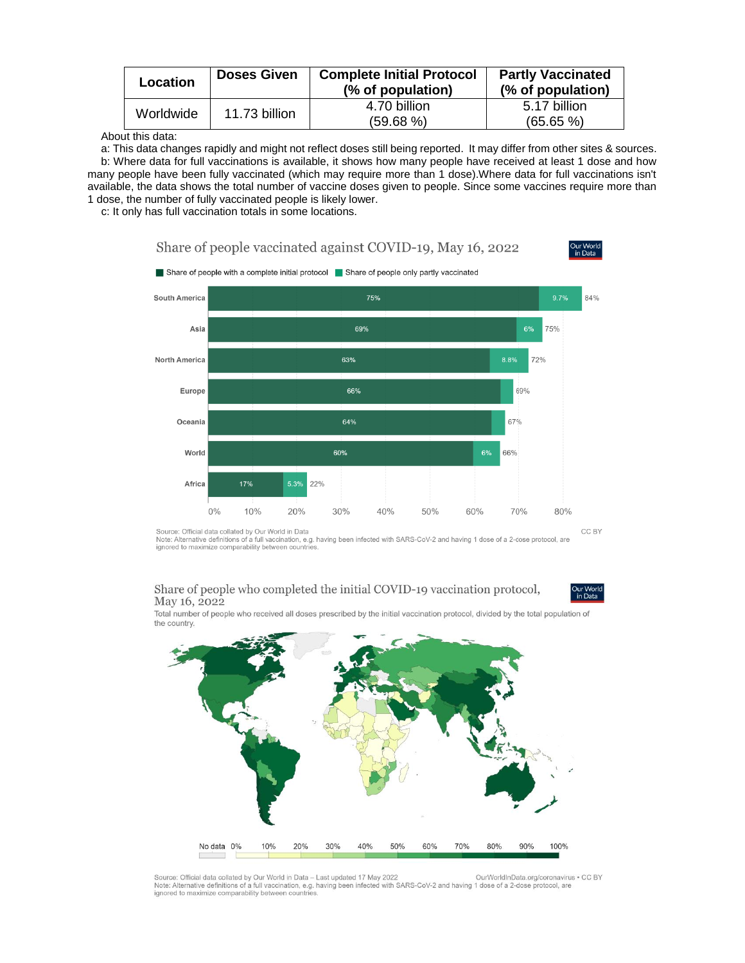| Location  | <b>Doses Given</b> | <b>Complete Initial Protocol</b><br>(% of population) | <b>Partly Vaccinated</b><br>(% of population) |
|-----------|--------------------|-------------------------------------------------------|-----------------------------------------------|
| Worldwide | 11.73 billion      | 4.70 billion<br>$(59.68\%)$                           | 5.17 billion<br>$(65.65\%)$                   |

About this data:

a: This data changes rapidly and might not reflect doses still being reported. It may differ from other sites & sources. b: Where data for full vaccinations is available, it shows how many people have received at least 1 dose and how many people have been fully vaccinated (which may require more than 1 dose).Where data for full vaccinations isn't available, the data shows the total number of vaccine doses given to people. Since some vaccines require more than 1 dose, the number of fully vaccinated people is likely lower.

Share of people vaccinated against COVID-19, May 16, 2022

c: It only has full vaccination totals in some locations.



Source: Official data collated by Our World in Data<br>Note: Alternative definitions of a full vaccination, e.g. having been infected with SARS-CoV-2 and having 1 dose of a 2-dose protocol, are ignored to maximize comparability between countries

### Share of people who completed the initial COVID-19 vaccination protocol, May 16, 2022

Dur Worl<br>in Data

Total number of people who received all doses prescribed by the initial vaccination protocol, divided by the total population of the country.



Source: Official data collated by Our World in Data - Last updated 17 May 2022 OurWorldInData.org/coronavirus . CC BY Note: Alternative definitions of a full vaccination, e.g. having been infected with SARS-CoV-2 and having 1 dose of a 2-dose protocol, are ignored to maximize comparability between countries.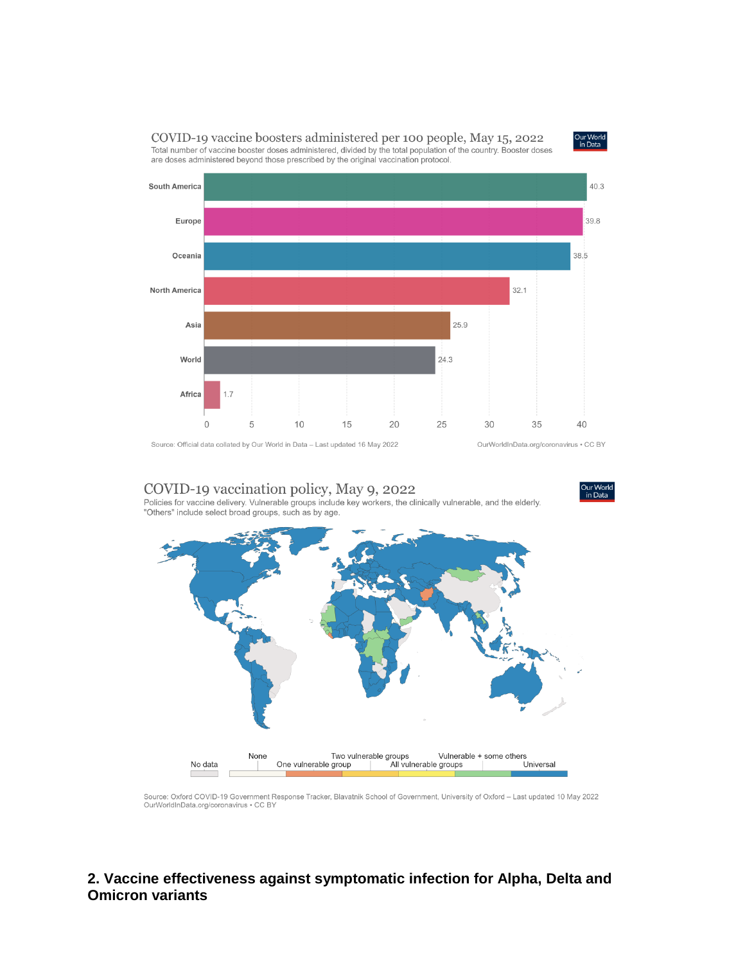COVID-19 vaccine boosters administered per 100 people, May 15, 2022 Total number of vaccine booster doses administered, divided by the total population of the country. Booster doses are doses administered beyond those prescribed by the original vaccination protocol.



Source: Official data collated by Our World in Data - Last updated 16 May 2022

COVID-19 vaccination policy, May 9, 2022 Policies for vaccine delivery. Vulnerable groups include key workers, the clinically vulnerable, and the elderly. "Others" include select broad groups, such as by age.



Source: Oxford COVID-19 Government Response Tracker, Blavatnik School of Government, University of Oxford - Last updated 10 May 2022 OurWorldInData.org/coronavirus . CC BY

### 2. Vaccine effectiveness against symptomatic infection for Alpha, Delta and **Omicron variants**

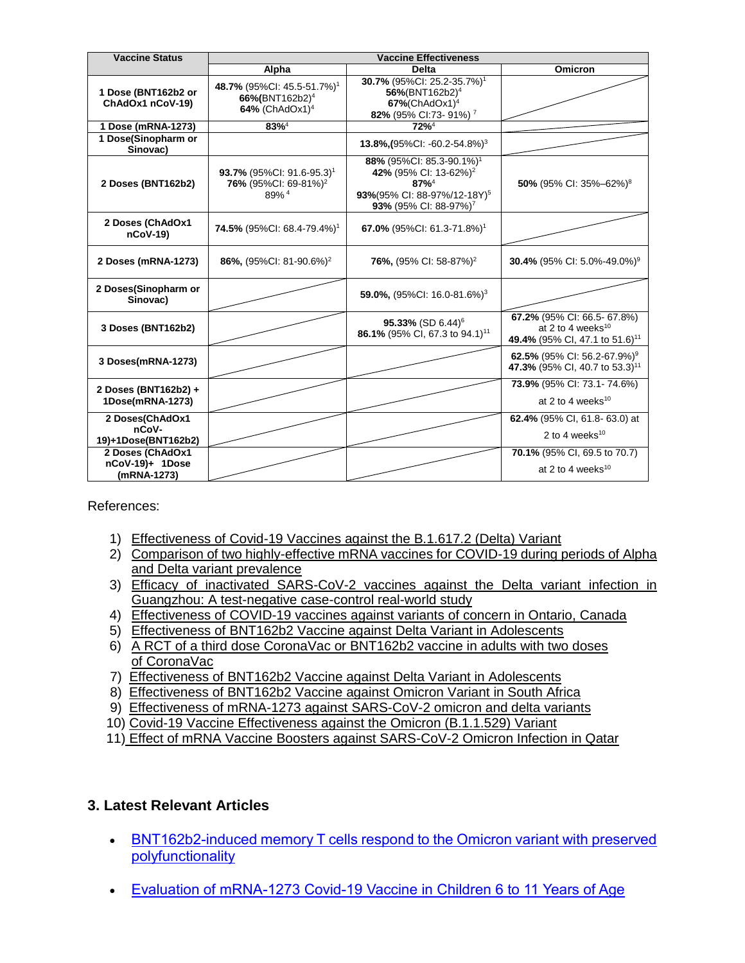| <b>Vaccine Status</b>                              | <b>Vaccine Effectiveness</b>                                                                         |                                                                                                                                                                        |                                                                                                  |  |  |
|----------------------------------------------------|------------------------------------------------------------------------------------------------------|------------------------------------------------------------------------------------------------------------------------------------------------------------------------|--------------------------------------------------------------------------------------------------|--|--|
|                                                    | Alpha                                                                                                | <b>Delta</b>                                                                                                                                                           | <b>Omicron</b>                                                                                   |  |  |
| 1 Dose (BNT162b2 or<br>ChAdOx1 nCoV-19)            | 48.7% (95%Cl: 45.5-51.7%) <sup>1</sup><br>66%(BNT162b2) <sup>4</sup><br>64% (ChAdOx1) <sup>4</sup>   | 30.7% (95%Cl: 25.2-35.7%) <sup>1</sup><br>56%(BNT162b2) <sup>4</sup><br>$67\%$ (ChAdOx1) <sup>4</sup><br>82% (95% CI:73-91%) <sup>7</sup>                              |                                                                                                  |  |  |
| 1 Dose (mRNA-1273)                                 | $83%^{4}$                                                                                            | $72%^4$                                                                                                                                                                |                                                                                                  |  |  |
| 1 Dose(Sinopharm or<br>Sinovac)                    |                                                                                                      | 13.8%, (95%CI: -60.2-54.8%) <sup>3</sup>                                                                                                                               |                                                                                                  |  |  |
| 2 Doses (BNT162b2)                                 | <b>93.7%</b> (95%Cl: 91.6-95.3) <sup>1</sup><br>76% (95%CI: 69-81%) <sup>2</sup><br>89% <sup>4</sup> | 88% (95%CI: 85.3-90.1%) <sup>1</sup><br>42% (95% CI: 13-62%) <sup>2</sup><br>$87%^{4}$<br>93%(95% CI: 88-97%/12-18Y) <sup>5</sup><br>93% (95% CI: 88-97%) <sup>7</sup> | 50% (95% CI: 35%-62%) <sup>8</sup>                                                               |  |  |
| 2 Doses (ChAdOx1<br>$nCoV-19$                      | <b>74.5% (95%CI: 68.4-79.4%)</b> <sup>1</sup>                                                        | 67.0% (95%CI: 61.3-71.8%) <sup>1</sup>                                                                                                                                 |                                                                                                  |  |  |
| 2 Doses (mRNA-1273)                                | 86%, (95%CI: 81-90.6%) <sup>2</sup>                                                                  | <b>76%, (95% CI: 58-87%)<sup>2</sup></b>                                                                                                                               | 30.4% (95% CI: 5.0%-49.0%) <sup>9</sup>                                                          |  |  |
| 2 Doses(Sinopharm or<br>Sinovac)                   |                                                                                                      | 59.0%, $(95\%$ CI: 16.0-81.6%) <sup>3</sup>                                                                                                                            |                                                                                                  |  |  |
| 3 Doses (BNT162b2)                                 |                                                                                                      | 95.33% (SD 6.44) <sup>6</sup><br>86.1% (95% CI, 67.3 to 94.1) <sup>11</sup>                                                                                            | 67.2% (95% CI: 66.5-67.8%)<br>at 2 to 4 weeks $10$<br>49.4% (95% CI, 47.1 to 51.6) <sup>11</sup> |  |  |
| 3 Doses(mRNA-1273)                                 |                                                                                                      |                                                                                                                                                                        | 62.5% (95% CI: 56.2-67.9%) <sup>9</sup><br>47.3% (95% CI, 40.7 to 53.3) <sup>11</sup>            |  |  |
| 2 Doses (BNT162b2) +<br>1Dose(mRNA-1273)           |                                                                                                      |                                                                                                                                                                        | 73.9% (95% CI: 73.1-74.6%)<br>at 2 to 4 weeks $10$                                               |  |  |
| 2 Doses(ChAdOx1<br>nCoV-<br>19)+1Dose(BNT162b2)    |                                                                                                      |                                                                                                                                                                        | 62.4% (95% CI, 61.8-63.0) at<br>2 to 4 weeks $10$                                                |  |  |
| 2 Doses (ChAdOx1<br>nCoV-19)+ 1Dose<br>(mRNA-1273) |                                                                                                      |                                                                                                                                                                        | 70.1% (95% CI, 69.5 to 70.7)<br>at 2 to 4 weeks <sup>10</sup>                                    |  |  |

References:

- 1) [Effectiveness of Covid-19 Vaccines against the B.1.617.2 \(Delta\) Variant](https://www.nejm.org/doi/pdf/10.1056/NEJMoa2108891?articleTools=true)
- 2) [Comparison of two highly-effective mRNA vaccines for COVID-19 during periods of Alpha](https://www.medrxiv.org/content/10.1101/2021.08.06.21261707v1.full.pdf)  [and Delta variant prevalence](https://www.medrxiv.org/content/10.1101/2021.08.06.21261707v1.full.pdf)
- 3) [Efficacy of inactivated SARS-CoV-2 vaccines against the Delta variant infection in](https://www.tandfonline.com/doi/full/10.1080/22221751.2021.1969291)  [Guangzhou: A test-negative case-control real-world study](https://www.tandfonline.com/doi/full/10.1080/22221751.2021.1969291)
- 4) [Effectiveness of COVID-19 vaccines against variants of concern in Ontario, Canada](https://www.medrxiv.org/content/10.1101/2021.06.28.21259420v2.full.pdf)
- 5) [Effectiveness of BNT162b2 Vaccine against Delta Variant in Adolescents](https://www.nejm.org/doi/pdf/10.1056/NEJMc2114290?articleTools=true)
- 6) [A RCT of a third dose CoronaVac or BNT162b2 vaccine in adults with two doses](https://www.medrxiv.org/content/10.1101/2021.11.02.21265843v1.full.pdf)  [of CoronaVac](https://www.medrxiv.org/content/10.1101/2021.11.02.21265843v1.full.pdf)
- 7) [Effectiveness of BNT162b2 Vaccine against Delta Variant in Adolescents](https://www.nejm.org/doi/full/10.1056/NEJMc2114290?query=featured_home)
- 8) [Effectiveness of BNT162b2 Vaccine against Omicron Variant in South Africa](https://www.nejm.org/doi/full/10.1056/NEJMc2119270)
- 9) [Effectiveness of mRNA-1273 against SARS-CoV-2 omicron and delta variants](https://www.medrxiv.org/content/10.1101/2022.01.07.22268919v1)
- 10) [Covid-19 Vaccine Effectiveness against the Omicron \(B.1.1.529\) Variant](https://www.nejm.org/doi/full/10.1056/NEJMoa2119451?query=featured_home)
- 11) [Effect of mRNA Vaccine Boosters against SARS-CoV-2 Omicron Infection in Qatar](https://www.nejm.org/doi/full/10.1056/NEJMoa2200797)

## **3. Latest Relevant Articles**

- [BNT162b2-induced memory T cells respond to the Omicron variant with preserved](https://www.nature.com/articles/s41564-022-01123-x)  [polyfunctionality](https://www.nature.com/articles/s41564-022-01123-x)
- [Evaluation of mRNA-1273 Covid-19 Vaccine in Children 6 to 11 Years of Age](https://www.nejm.org/doi/full/10.1056/NEJMoa2203315)